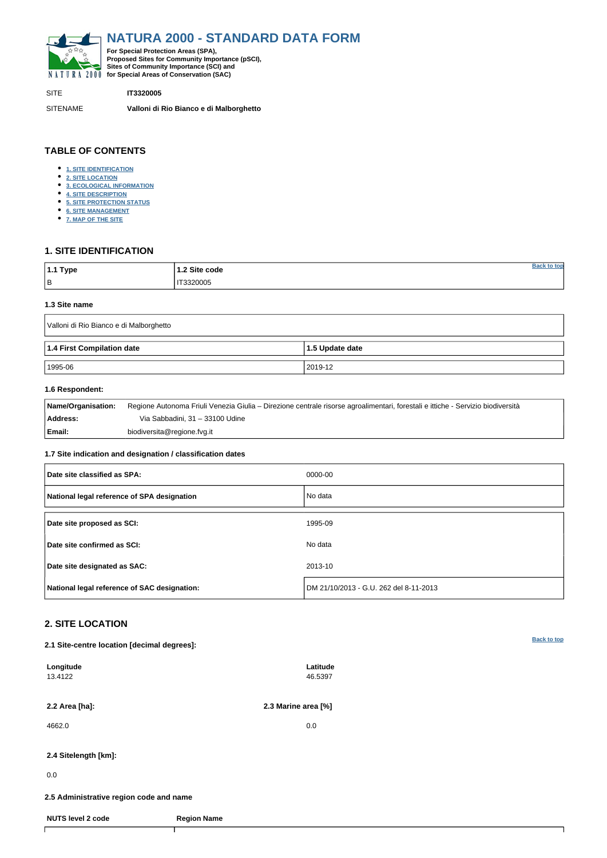<span id="page-0-0"></span>

SITE **IT3320005**

SITENAME **Valloni di Rio Bianco e di Malborghetto**

| 1.1 Type  | 1.2 Site code |  |
|-----------|---------------|--|
| $\vert$ B | 3320005       |  |

## **TABLE OF CONTENTS**

- **[1. SITE IDENTIFICATION](#page-0-1)**
- **[2. SITE LOCATION](#page-0-2)**
- **[3. ECOLOGICAL INFORMATION](#page-1-0)**
- **[4. SITE DESCRIPTION](#page-2-0)**
- **[5. SITE PROTECTION STATUS](#page-4-0)**
- **[6. SITE MANAGEMENT](#page-4-1)**
- **[7. MAP OF THE SITE](#page-4-2)**

## <span id="page-0-1"></span>**1. SITE IDENTIFICATION**

#### **1.3 Site name**

| Valloni di Rio Bianco e di Malborghetto |                 |  |  |  |  |  |  |
|-----------------------------------------|-----------------|--|--|--|--|--|--|
| 1.4 First Compilation date              | 1.5 Update date |  |  |  |  |  |  |
| 1995-06                                 | 2019-12         |  |  |  |  |  |  |

### **1.6 Respondent:**

| Name/Organisation: | Regione Autonoma Friuli Venezia Giulia – Direzione centrale risorse agroalimentari, forestali e ittiche - Servizio biodiversità |
|--------------------|---------------------------------------------------------------------------------------------------------------------------------|
| Address:           | Via Sabbadini, 31 – 33100 Udine                                                                                                 |
| Email:             | biodiversita@regione.fvg.it                                                                                                     |

### **1.7 Site indication and designation / classification dates**

| Date site classified as SPA:                 | 0000-00                                |
|----------------------------------------------|----------------------------------------|
| National legal reference of SPA designation  | No data                                |
| Date site proposed as SCI:                   | 1995-09                                |
| Date site confirmed as SCI:                  | No data                                |
| Date site designated as SAC:                 | 2013-10                                |
| National legal reference of SAC designation: | DM 21/10/2013 - G.U. 262 del 8-11-2013 |

# <span id="page-0-2"></span>**2. SITE LOCATION**

**2.1 Site-centre location [decimal degrees]:**

| Longitude<br>13.4122                    | Latitude<br>46.5397 |  |
|-----------------------------------------|---------------------|--|
| 2.2 Area [ha]:                          | 2.3 Marine area [%] |  |
| 4662.0                                  | 0.0                 |  |
| 2.4 Sitelength [km]:                    |                     |  |
| 0.0                                     |                     |  |
| 2.5 Administrative region code and name |                     |  |
| <b>NUTS level 2 code</b>                | <b>Region Name</b>  |  |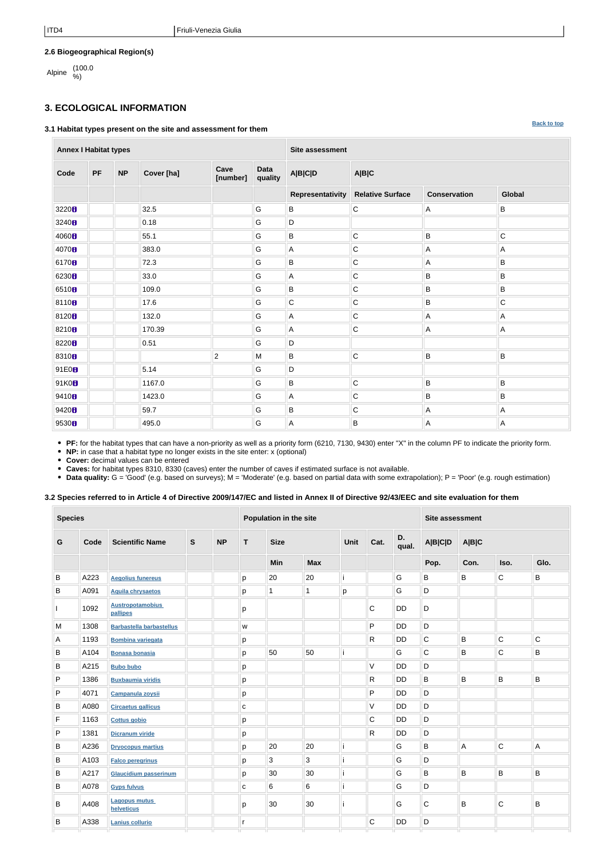**[Back to top](#page-0-0)**

## **2.6 Biogeographical Region(s)**

Alpine (100.0

# <span id="page-1-0"></span>**3. ECOLOGICAL INFORMATION**

#### **3.1 Habitat types present on the site and assessment for them**

**Annex I Habitat types Site assessment Code PF NP Cover [ha] Cave [number] Data quality A|B|C|D A|B|C Representativity Relative Surface Conservation Global** 3220 **b** 32.5 G B C A B B 3240 0.18 G D 4060 B B B B B B B B C 4070 B 383.0 G A C A A A A 6170 **8** True Microsoft March 2013 **6170 B** 6230 33.0 G A C B B 6510 **B** B B B B B B B B 8110 17.6 G C C B C 8120 132.0 G A C A A 8210 170.39 G A C A A 8220 0.51 G D 8310 2 M B C B B 91E0 5.14 G D 91K0 1167.0 G B C B B 9410 **B** N 23.0 G A C B B B 9420 **B** B B A A A A 9530 495.0 G A B A A

**PF:** for the habitat types that can have a non-priority as well as a priority form (6210, 7130, 9430) enter "X" in the column PF to indicate the priority form.

**NP:** in case that a habitat type no longer exists in the site enter: x (optional)

**Cover:** decimal values can be entered

**Caves:** for habitat types 8310, 8330 (caves) enter the number of caves if estimated surface is not available.

• Data quality: G = 'Good' (e.g. based on surveys); M = 'Moderate' (e.g. based on partial data with some extrapolation); P = 'Poor' (e.g. rough estimation)

## **3.2 Species referred to in Article 4 of Directive 2009/147/EC and listed in Annex II of Directive 92/43/EEC and site evaluation for them**

| <b>Species</b> |      |                                     |              | Population in the site |              |                |                |      | <b>Site assessment</b> |             |                |              |                |                           |
|----------------|------|-------------------------------------|--------------|------------------------|--------------|----------------|----------------|------|------------------------|-------------|----------------|--------------|----------------|---------------------------|
| G              | Code | <b>Scientific Name</b>              | $\mathbf{s}$ | <b>NP</b>              | T.           | <b>Size</b>    |                | Unit | Cat.                   | D.<br>qual. | <b>A B C D</b> | <b>A B C</b> |                |                           |
|                |      |                                     |              |                        |              | <b>Min</b>     | <b>Max</b>     |      |                        |             | Pop.           | Con.         | Iso.           | Glo.                      |
| B              | A223 | <b>Aegolius funereus</b>            |              |                        | p            | 20             | 20             | ۱i   |                        | G           | B              | B            | $\mathsf C$    | B                         |
| B              | A091 | <b>Aquila chrysaetos</b>            |              |                        | p            | $\mathbf 1$    | 1              | p    |                        | G           | D              |              |                |                           |
|                | 1092 | <b>Austropotamobius</b><br>pallipes |              |                        | р            |                |                |      | $\mathsf C$            | <b>DD</b>   | D              |              |                |                           |
| M              | 1308 | <b>Barbastella barbastellus</b>     |              |                        | W            |                |                |      | P                      | DD          | D              |              |                |                           |
| Α              | 1193 | <b>Bombina variegata</b>            |              |                        | p            |                |                |      | $\mathsf{R}$           | <b>DD</b>   | $\mathsf C$    | B            | $\overline{C}$ | $\mathsf C$               |
| B              | A104 | <b>Bonasa bonasia</b>               |              |                        | p            | 50             | 50             |      |                        | G           | $\mathsf{C}$   | B            | $\mathsf C$    | B                         |
| B              | A215 | <b>Bubo bubo</b>                    |              |                        | p            |                |                |      | $\vee$                 | <b>DD</b>   | D              |              |                |                           |
| P              | 1386 | <b>Buxbaumia viridis</b>            |              |                        | p            |                |                |      | R                      | <b>DD</b>   | B              | B            | B              | B                         |
| P              | 4071 | Campanula zoysii                    |              |                        | p            |                |                |      | P                      | <b>DD</b>   | D              |              |                |                           |
| B              | A080 | <b>Circaetus gallicus</b>           |              |                        | $\mathbf C$  |                |                |      | V                      | <b>DD</b>   | D              |              |                |                           |
| F              | 1163 | <b>Cottus gobio</b>                 |              |                        | р            |                |                |      | C                      | <b>DD</b>   | D              |              |                |                           |
| P              | 1381 | <b>Dicranum viride</b>              |              |                        | p            |                |                |      | $\mathsf{R}$           | <b>DD</b>   | D              |              |                |                           |
| B              | A236 | <b>Dryocopus martius</b>            |              |                        | p            | 20             | 20             | ۱i   |                        | G           | B              | A            | $\mathsf C$    | $\boldsymbol{\mathsf{A}}$ |
| B              | A103 | <b>Falco peregrinus</b>             |              |                        | р            | $\mathfrak{S}$ | $\overline{3}$ | ۱i   |                        | G           | D              |              |                |                           |
| B              | A217 | <b>Glaucidium passerinum</b>        |              |                        | p            | 30             | 30             | ۱i   |                        | G           | B              | B            | $\sf B$        | B                         |
| B              | A078 | <b>Gyps fulvus</b>                  |              |                        | $\mathbf{C}$ | $\,6\,$        | $\,6$          | ۱i   |                        | G           | D              |              |                |                           |
| B              | A408 | <b>Lagopus mutus</b><br>helveticus  |              |                        | p            | 30             | 30             | ۱ì   |                        | G           | C              | B            | C              | B                         |
| B              | A338 | <b>Lanius collurio</b>              |              |                        | r            |                |                |      | $\mathsf{C}$           | <b>DD</b>   | D              |              |                |                           |
|                |      |                                     |              |                        |              |                |                |      |                        |             |                |              |                |                           |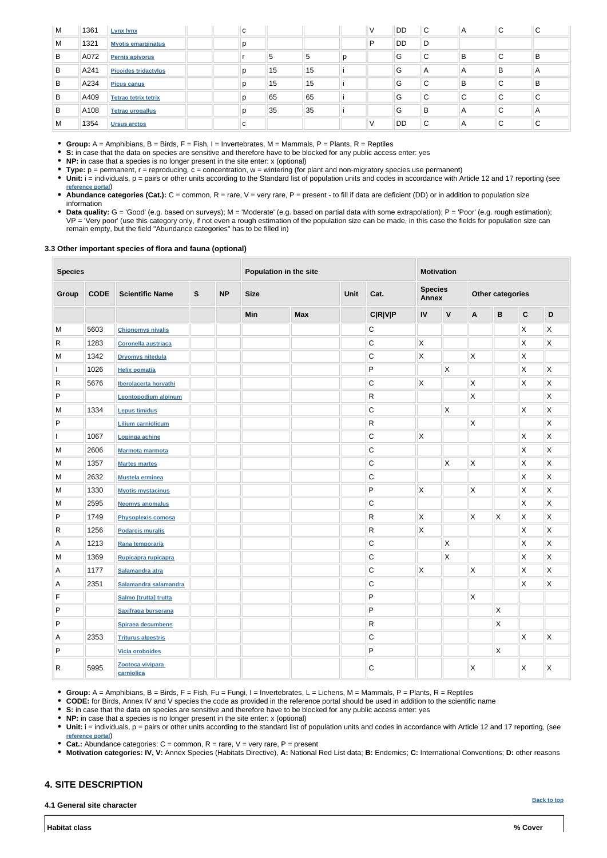**[Back to top](#page-0-0)**

| M | 1361 | <b>Lynx lynx</b>            | C |    |    |   | $\vee$ | <b>DD</b> | $\mathsf{C}$ | A | $\sim$<br>◡ | C            |
|---|------|-----------------------------|---|----|----|---|--------|-----------|--------------|---|-------------|--------------|
| M | 1321 | <b>Myotis emarginatus</b>   | p |    |    |   | P      | <b>DD</b> | D            |   |             |              |
| B | A072 | <b>Pernis apivorus</b>      |   | 5  | ಿ  | D |        | G         | С            | В | ⌒<br>◡      | B            |
| B | A241 | <b>Picoides tridactylus</b> | D | 15 | 15 |   |        | G         | A            | A | B           | A            |
| B | A234 | <b>Picus canus</b>          | D | 15 | 15 |   |        | G         | $\sim$<br>◡  | В | ⌒<br>◡      | B            |
| B | A409 | <b>Tetrao tetrix tetrix</b> |   | 65 | 65 |   |        | G         | С            | C | $\sim$<br>◡ | $\mathsf{C}$ |
| B | A108 | <b>Tetrao urogallus</b>     |   | 35 | 35 |   |        | G         | В            | A | ⌒<br>◡      | A            |
| м | 1354 | <b>Ursus arctos</b>         | C |    |    |   | v      | DD        | С            | A | ⌒<br>◡      | C            |

**Group:** A = Amphibians, B = Birds, F = Fish, I = Invertebrates, M = Mammals, P = Plants, R = Reptiles

- **S:** in case that the data on species are sensitive and therefore have to be blocked for any public access enter: yes
- **NP:** in case that a species is no longer present in the site enter: x (optional)
- **Type:** p = permanent, r = reproducing, c = concentration, w = wintering (for plant and non-migratory species use permanent)
- Unit: i = individuals, p = pairs or other units according to the Standard list of population units and codes in accordance with Article 12 and 17 reporting (see **[reference portal](http://bd.eionet.europa.eu/activities/Natura_2000/reference_portal)**)
- Abundance categories (Cat.): C = common, R = rare, V = very rare, P = present to fill if data are deficient (DD) or in addition to population size information
- Data quality: G = 'Good' (e.g. based on surveys); M = 'Moderate' (e.g. based on partial data with some extrapolation); P = 'Poor' (e.g. rough estimation); VP = 'Very poor' (use this category only, if not even a rough estimation of the population size can be made, in this case the fields for population size can remain empty, but the field "Abundance categories" has to be filled in)

#### **3.3 Other important species of flora and fauna (optional)**

| <b>Species</b> |             |                             |               | Population in the site |             |            |      | <b>Motivation</b> |                                |              |                         |                         |                           |                         |  |
|----------------|-------------|-----------------------------|---------------|------------------------|-------------|------------|------|-------------------|--------------------------------|--------------|-------------------------|-------------------------|---------------------------|-------------------------|--|
| Group          | <b>CODE</b> | <b>Scientific Name</b>      | ${\mathsf S}$ | <b>NP</b>              | <b>Size</b> |            | Unit | Cat.              | <b>Species</b><br><b>Annex</b> |              |                         | <b>Other categories</b> |                           |                         |  |
|                |             |                             |               |                        | Min         | <b>Max</b> |      | <b>C R V P</b>    | IV                             | $\mathsf{V}$ | A                       | B                       | $\mathbf C$               | $\mathsf D$             |  |
| M              | 5603        | <b>Chionomys nivalis</b>    |               |                        |             |            |      | $\mathsf C$       |                                |              |                         |                         | $\boldsymbol{\mathsf{X}}$ | Χ                       |  |
| $\mathsf R$    | 1283        | <b>Coronella austriaca</b>  |               |                        |             |            |      | $\mathsf C$       | Χ                              |              |                         |                         | X                         | $\mathsf X$             |  |
| M              | 1342        | <b>Dryomys nitedula</b>     |               |                        |             |            |      | $\mathbf C$       | X                              |              | X                       |                         | X                         |                         |  |
|                | 1026        | <b>Helix pomatia</b>        |               |                        |             |            |      | P                 |                                | X            |                         |                         | Χ                         | $\mathsf{X}$            |  |
| $\mathsf{R}$   | 5676        | Iberolacerta horvathi       |               |                        |             |            |      | С                 | X                              |              | X                       |                         | $\mathsf{X}$              | X                       |  |
| P              |             | <b>Leontopodium alpinum</b> |               |                        |             |            |      | R                 |                                |              | $\mathsf X$             |                         |                           | Χ                       |  |
| M              | 1334        | <b>Lepus timidus</b>        |               |                        |             |            |      | $\mathsf C$       |                                | Χ            |                         |                         | X                         | Χ                       |  |
| $\mathsf{P}$   |             | <b>Lilium carniolicum</b>   |               |                        |             |            |      | R                 |                                |              | Χ                       |                         |                           | Χ                       |  |
|                | 1067        | Lopinga achine              |               |                        |             |            |      | С                 | Χ                              |              |                         |                         | $\boldsymbol{\mathsf{X}}$ | Χ                       |  |
| ${\sf M}$      | 2606        | <b>Marmota marmota</b>      |               |                        |             |            |      | ${\bf C}$         |                                |              |                         |                         | $\boldsymbol{\mathsf{X}}$ | $\mathsf X$             |  |
| M              | 1357        | <b>Martes martes</b>        |               |                        |             |            |      | $\mathsf C$       |                                | X            | $\mathsf{\overline{X}}$ |                         | $\mathsf X$               | X                       |  |
| M              | 2632        | <b>Mustela erminea</b>      |               |                        |             |            |      | $\mathsf C$       |                                |              |                         |                         | $\boldsymbol{\mathsf{X}}$ | $\mathsf{\overline{X}}$ |  |
| M              | 1330        | <b>Myotis mystacinus</b>    |               |                        |             |            |      | P                 | Χ                              |              | $\mathsf X$             |                         | $\boldsymbol{\mathsf{X}}$ | $\mathsf{X}$            |  |
| M              | 2595        | <b>Neomys anomalus</b>      |               |                        |             |            |      | $\mathbf C$       |                                |              |                         |                         | X                         | Χ                       |  |
| P              | 1749        | <b>Physoplexis comosa</b>   |               |                        |             |            |      | $\mathsf{R}$      | X                              |              | X                       | X                       | X                         | Χ                       |  |
| $\mathsf{R}$   | 1256        | <b>Podarcis muralis</b>     |               |                        |             |            |      | R                 | X                              |              |                         |                         | $\boldsymbol{\mathsf{X}}$ | X                       |  |
| Α              | 1213        | Rana temporaria             |               |                        |             |            |      | $\mathsf C$       |                                | X            |                         |                         | $\mathsf{X}$              | Χ                       |  |
| M              | 1369        | Rupicapra rupicapra         |               |                        |             |            |      | $\mathsf C$       |                                | Χ            |                         |                         | X                         | Χ                       |  |
| Α              | 1177        | Salamandra atra             |               |                        |             |            |      | $\mathsf C$       | Χ                              |              | Χ                       |                         | Χ                         | Χ                       |  |
| $\mathsf{A}$   | 2351        | Salamandra salamandra       |               |                        |             |            |      | $\mathsf C$       |                                |              |                         |                         | X                         | $\mathsf X$             |  |
| $\mathsf F$    |             | Salmo [trutta] trutta       |               |                        |             |            |      | P                 |                                |              | $\mathsf{\overline{X}}$ |                         |                           |                         |  |
| $\sf P$        |             | Saxifraga burserana         |               |                        |             |            |      | P                 |                                |              |                         | $\mathsf{X}$            |                           |                         |  |
| $\sf P$        |             | Spiraea decumbens           |               |                        |             |            |      | $\mathsf{R}$      |                                |              |                         | $\mathsf{X}$            |                           |                         |  |
| $\mathsf{A}$   | 2353        | <b>Triturus alpestris</b>   |               |                        |             |            |      | $\mathbf C$       |                                |              |                         |                         | $\mathsf{X}$              | X                       |  |
|                |             |                             |               |                        |             |            |      |                   |                                |              |                         |                         |                           |                         |  |

| 5995 | $\sim$<br><b>AAR</b> |  |  |  |  |  |  |
|------|----------------------|--|--|--|--|--|--|

- **Group:** A = Amphibians, B = Birds, F = Fish, Fu = Fungi, I = Invertebrates, L = Lichens, M = Mammals, P = Plants, R = Reptiles
- **CODE:** for Birds, Annex IV and V species the code as provided in the reference portal should be used in addition to the scientific name
- **S:** in case that the data on species are sensitive and therefore have to be blocked for any public access enter: yes
- **NP:** in case that a species is no longer present in the site enter: x (optional)
- Unit: i = individuals, p = pairs or other units according to the standard list of population units and codes in accordance with Article 12 and 17 reporting, (see **[reference portal](http://bd.eionet.europa.eu/activities/Natura_2000/reference_portal)**)
- **Cat.:** Abundance categories: C = common, R = rare, V = very rare, P = present
- **Motivation categories: IV, V:** Annex Species (Habitats Directive), **A:** National Red List data; **B:** Endemics; **C:** International Conventions; **D:** other reasons

# <span id="page-2-0"></span>**4. SITE DESCRIPTION**

**4.1 General site character**

**Habitat class % Cover**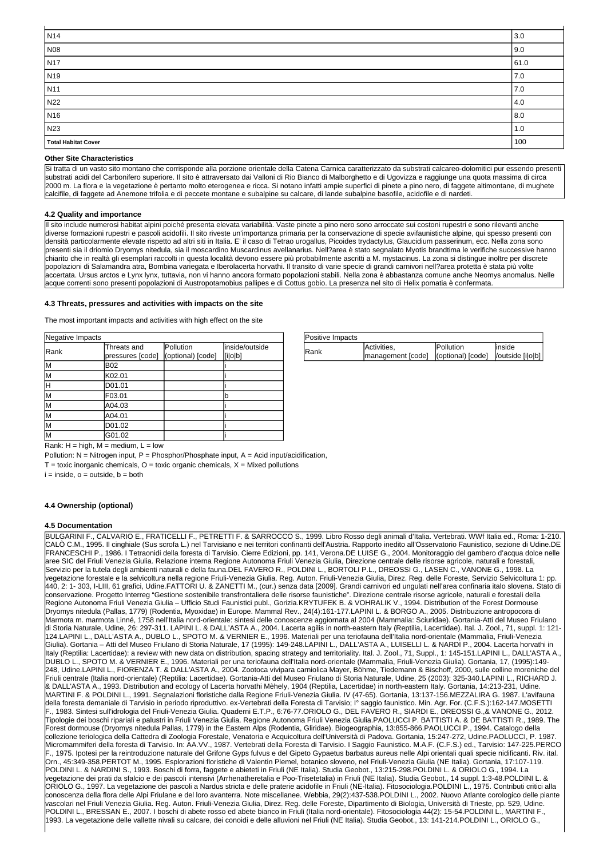| Positive Impacts |                                                          |           |         |
|------------------|----------------------------------------------------------|-----------|---------|
| <b>IRank</b>     | Activities,                                              | Pollution | linside |
|                  | management [code]   (optional) [code]   /outside [i o b] |           |         |

Rank:  $H = high$ ,  $M = medium$ ,  $L = low$ 

Pollution:  $N =$  Nitrogen input,  $P =$  Phosphor/Phosphate input,  $A =$  Acid input/acidification,

 $T =$  toxic inorganic chemicals,  $O =$  toxic organic chemicals,  $X =$  Mixed pollutions

 $i = inside, o = outside, b = both$ 

| Negative Impacts |                                 |                                |                           |
|------------------|---------------------------------|--------------------------------|---------------------------|
| Rank             | Threats and<br>pressures [code] | Pollution<br>(optional) [code] | inside/outside<br>[i o b] |
| lМ               | <b>B02</b>                      |                                |                           |
| lМ               | K02.01                          |                                |                           |
| lΗ               | D01.01                          |                                |                           |
| lМ               | F03.01                          |                                | b                         |
| lМ               | A04.03                          |                                |                           |
| lМ               | A04.01                          |                                |                           |
| lМ               | D01.02                          |                                |                           |
| lм               | G01.02                          |                                |                           |

| N <sub>14</sub>     | 3.0  |
|---------------------|------|
| N08                 | 9.0  |
| N <sub>17</sub>     | 61.0 |
| N <sub>19</sub>     | 7.0  |
| N11                 | 7.0  |
| N22                 | 4.0  |
| N <sub>16</sub>     | 8.0  |
| N23                 | 1.0  |
| Total Habitat Cover | 100  |

#### **Other Site Characteristics**

Si tratta di un vasto sito montano che corrisponde alla porzione orientale della Catena Carnica caratterizzato da substrati calcareo-dolomitici pur essendo presenti substrati acidi del Carbonifero superiore. Il sito è attraversato dai Valloni di Rio Bianco di Malborghetto e di Ugovizza e raggiunge una quota massima di circa 2000 m. La flora e la vegetazione è pertanto molto eterogenea e ricca. Si notano infatti ampie superfici di pinete a pino nero, di faggete altimontane, di mughete calcifile, di faggete ad Anemone trifolia e di peccete montane e subalpine su calcare, di lande subalpine basofile, acidofile e di nardeti.

#### **4.2 Quality and importance**

Il sito include numerosi habitat alpini poiché presenta elevata variabilità. Vaste pinete a pino nero sono arroccate sui costoni rupestri e sono rilevanti anche diverse formazioni rupestri e pascoli acidofili. Il sito riveste un'importanza primaria per la conservazione di specie avifaunistiche alpine, qui spesso presenti con densità particolarmente elevate rispetto ad altri siti in Italia. E' il caso di Tetrao urogallus, Picoides trydactylus, Glaucidium passerinum, ecc. Nella zona sono presenti sia il driomio Dryomys nitedula, sia il moscardino Muscardinus avellanarius. Nell?area è stato segnalato Myotis brandtima le verifiche successive hanno chiarito che in realtà gli esemplari raccolti in questa località devono essere più probabilmente ascritti a M. mystacinus. La zona si distingue inoltre per discrete popolazioni di Salamandra atra, Bombina variegata e Iberolacerta horvathi. Il transito di varie specie di grandi carnivori nell?area protetta è stata più volte accertata. Ursus arctos e Lynx lynx, tuttavia, non vi hanno ancora formato popolazioni stabili. Nella zona è abbastanza comune anche Neomys anomalus. Nelle acque correnti sono presenti popolazioni di Austropotamobius pallipes e di Cottus gobio. La presenza nel sito di Helix pomatia è confermata.

#### **4.3 Threats, pressures and activities with impacts on the site**

The most important impacts and activities with high effect on the site

#### **4.4 Ownership (optional)**

#### **4.5 Documentation**

BULGARINI F., CALVARIO E., FRATICELLI F., PETRETTI F. & SARROCCO S., 1999. Libro Rosso degli animali d'Italia. Vertebrati. WWf Italia ed., Roma: 1-210. CALÒ C.M., 1995. Il cinghiale (Sus scrofa L.) nel Tarvisiano e nei territori confinanti dell'Austria. Rapporto inedito all'Osservatorio Faunistico, sezione di Udine.DE FRANCESCHI P., 1986. I Tetraonidi della foresta di Tarvisio. Cierre Edizioni, pp. 141, Verona.DE LUISE G., 2004. Monitoraggio del gambero d'acqua dolce nelle aree SIC del Friuli Venezia Giulia. Relazione interna Regione Autonoma Friuli Venezia Giulia, Direzione centrale delle risorse agricole, naturali e forestali, Servizio per la tutela degli ambienti naturali e della fauna.DEL FAVERO R., POLDINI L., BORTOLI P.L., DREOSSI G., LASEN C., VANONE G., 1998. La  $\not$ egetazione forestale e ľa selvicoltura nella regione Friuli-Venezia Giulia. Reg. Auton. Friuli-Venezia Giulia, Direz. Reg. delle Foreste, Servizio Selvicoltura 1: pp. 440, 2: 1- 303, I-LIII, 61 grafici, Udine.FATTORI U. & ZANETTI M., (cur.) senza data [2009]. Grandi carnivori ed ungulati nell'area confinaria italo slovena. Stato di conservazione. Progetto Interreg "Gestione sostenibile transfrontaliera delle risorse faunistiche". Direzione centrale risorse agricole, naturali e forestali della Regione Autonoma Friuli Venezia Giulia – Ufficio Studi Faunistici publ., Gorizia.KRYTUFEK B. & VOHRALIK V., 1994. Distribution of the Forest Dormouse Dryomys nitedula (Pallas, 1779) (Rodentia, Myoxidae) in Europe. Mammal Rev., 24(4):161-177.LAPINI L. & BORGO A., 2005. Distribuzione antropocora di Marmota m. marmota Linné, 1758 nell'Italia nord-orientale: sintesi delle conoscenze aggiornata al 2004 (Mammalia: Sciuridae). Gortania-Atti del Museo Friulano di Storia Naturale, Udine, 26: 297-311. LAPINI L. & DALL'ASTA A., 2004. Lacerta agilis in north-eastern Italy (Reptilia, Lacertidae). Ital. J. Zool., 71, suppl. 1: 121- 124.LAPINI L., DALL'ASTA A., DUBLO L., SPOTO M. & VERNIER E., 1996. Materiali per una teriofauna dell'Italia nord-orientale (Mammalia, Friuli-Venezia Giulia). Gortania – Atti del Museo Friulano di Storia Naturale, 17 (1995): 149-248.LAPINI L., DALL'ASTA A., LUISELLI L. & NARDI P., 2004. Lacerta horvathi in Italy (Reptilia: Lacertidae): a review with new data on distribution, spacing strategy and territoriality. Ital. J. Zool., 71, Suppl., 1: 145-151.LAPINI L., DALL'ASTA A., DUBLO L., SPOTO M. & VERNIER E., 1996. Materiali per una teriofauna dell'Italia nord-orientale (Mammalia, Friuli-Venezia Giulia). Gortania, 17, (1995):149- 248, Udine.LAPINI L., FIORENZA T. & DALL'ASTA A., 2004. Zootoca vivipara carniolica Mayer, Böhme, Tiedemann & Bischoff, 2000, sulle colline moreniche del Friuli centrale (Italia nord-orientale) (Reptilia: Lacertidae). Gortania-Atti del Museo Friulano di Storia Naturale, Udine, 25 (2003): 325-340.LAPINI L., RICHARD J. & DALL'ASTA A., 1993. Distribution and ecology of Lacerta horvathi Mèhely, 1904 (Reptilia, Lacertidae) in north-eastern Italy. Gortania, 14:213-231, Udine. MARTINI F. & POLDINI L., 1991. Segnalazioni floristiche dalla Regione Friuli-Venezia Giulia. IV (47-65). Gortania, 13:137-156.MEZZALIRA G. 1987. L'avifauna della foresta demaniale di Tarvisio in periodo riproduttivo. ex-Vertebrati della Foresta di Tarvisio; I° saggio faunistico. Min. Agr. For. (C.F.S.):162-147.MOSETTI F., 1983. Sintesi sull'idrologia del Friuli-Venezia Giulia. Quaderni E.T.P., 6:76-77.ORIOLO G., DEL FAVERO R., SIARDI E., DREOSSI G.,& VANONE G., 2012. Tipologie dei boschi ripariali e palustri in Friuli Venezia Giulia. Regione Autonoma Friuli Venezia Giulia.PAOLUCCI P. BATTISTI A. & DE BATTISTI R., 1989. The Forest dormouse (Dryomys nitedula Pallas, 1779) in the Eastern Alps (Rodentia, Gliridae). Biogeographia, 13:855-866.PAOLUCCI P., 1994. Catalogo della collezione teriologica della Cattedra di Zoologia Forestale, Venatoria e Acquicoltura dell'Università di Padova. Gortania, 15:247-272, Udine.PAOLUCCI, P. 1987. Micromammiferi della foresta di Tarvisio. In: AA.VV., 1987. Vertebrati della Foresta di Tarvisio. I Saggio Faunistico. M.A.F. (C.F.S.) ed., Tarvisio: 147-225.PERCO F., 1975. Ipotesi per la reintroduzione naturale del Grifone Gyps fulvus e del Gipeto Gypaetus barbatus aureus nelle Alpi orientali quali specie nidificanti. Riv. ital. Orn., 45:349-358.PERTOT M., 1995. Esplorazioni floristiche di Valentin Plemel, botanico sloveno, nel Friuli-Venezia Giulia (NE Italia). Gortania, 17:107-119. POLDINI L. & NARDINI S., 1993. Boschi di forra, faggete e abieteti in Friuli (NE Italia). Studia Geobot., 13:215-298.POLDINI L. & ORIOLO G., 1994. La vegetazione dei prati da sfalcio e dei pascoli intensivi (Arrhenatheretalia e Poo-Trisetetalia) in Friuli (NE Italia). Studia Geobot., 14 suppl. 1:3-48.POLDINI L. & ORIOLO G., 1997. La vegetazione dei pascoli a Nardus stricta e delle praterie acidofile in Friuli (NE-Italia). Fitosociologia.POLDINI L., 1975. Contributi critici alla conoscenza della flora delle Alpi Friulane e del loro avanterra. Note miscellanee. Webbia, 29(2):437-538.POLDINI L., 2002. Nuovo Atlante corologico delle piante vascolari nel Friuli Venezia Giulia. Reg. Auton. Friuli-Venezia Giulia, Direz. Reg. delle Foreste, Dipartimento di Biologia, Università di Trieste, pp. 529, Udine. POLDINI L., BRESSAN E., 2007. I boschi di abete rosso ed abete bianco in Friuli (Italia nord-orientale). Fitosociologia 44(2): 15-54.POLDINI L., MARTINI F., 1993. La vegetazione delle vallette nivali su calcare, dei conoidi e delle alluvioni nel Friuli (NE Italia). Studia Geobot., 13: 141-214.POLDINI L., ORIOLO G.,